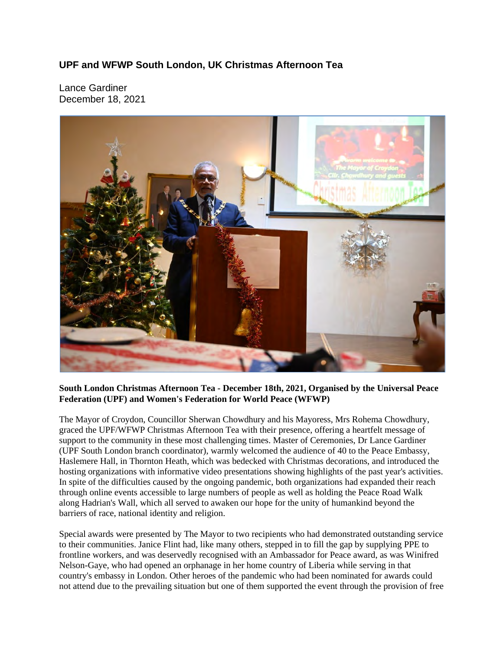## **UPF and WFWP South London, UK Christmas Afternoon Tea**

Lance Gardiner December 18, 2021



## **South London Christmas Afternoon Tea - December 18th, 2021, Organised by the Universal Peace Federation (UPF) and Women's Federation for World Peace (WFWP)**

The Mayor of Croydon, Councillor Sherwan Chowdhury and his Mayoress, Mrs Rohema Chowdhury, graced the UPF/WFWP Christmas Afternoon Tea with their presence, offering a heartfelt message of support to the community in these most challenging times. Master of Ceremonies, Dr Lance Gardiner (UPF South London branch coordinator), warmly welcomed the audience of 40 to the Peace Embassy, Haslemere Hall, in Thornton Heath, which was bedecked with Christmas decorations, and introduced the hosting organizations with informative video presentations showing highlights of the past year's activities. In spite of the difficulties caused by the ongoing pandemic, both organizations had expanded their reach through online events accessible to large numbers of people as well as holding the Peace Road Walk along Hadrian's Wall, which all served to awaken our hope for the unity of humankind beyond the barriers of race, national identity and religion.

Special awards were presented by The Mayor to two recipients who had demonstrated outstanding service to their communities. Janice Flint had, like many others, stepped in to fill the gap by supplying PPE to frontline workers, and was deservedly recognised with an Ambassador for Peace award, as was Winifred Nelson-Gaye, who had opened an orphanage in her home country of Liberia while serving in that country's embassy in London. Other heroes of the pandemic who had been nominated for awards could not attend due to the prevailing situation but one of them supported the event through the provision of free